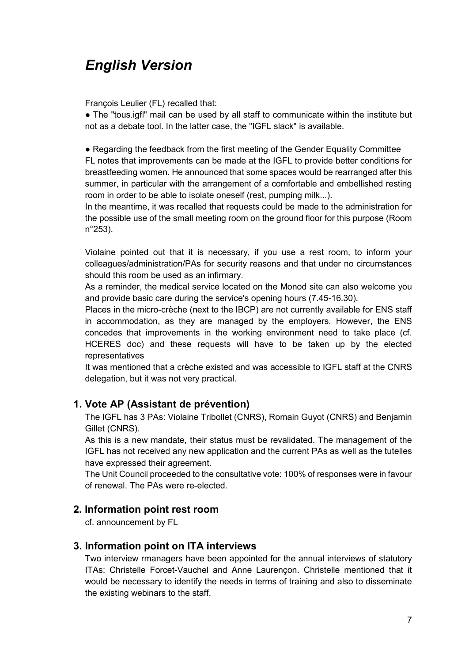# *English Version*

François Leulier (FL) recalled that:

● The "tous.igfl" mail can be used by all staff to communicate within the institute but not as a debate tool. In the latter case, the "IGFL slack" is available.

● Regarding the feedback from the first meeting of the Gender Equality Committee FL notes that improvements can be made at the IGFL to provide better conditions for breastfeeding women. He announced that some spaces would be rearranged after this summer, in particular with the arrangement of a comfortable and embellished resting room in order to be able to isolate oneself (rest, pumping milk...).

In the meantime, it was recalled that requests could be made to the administration for the possible use of the small meeting room on the ground floor for this purpose (Room n°253).

Violaine pointed out that it is necessary, if you use a rest room, to inform your colleagues/administration/PAs for security reasons and that under no circumstances should this room be used as an infirmary.

As a reminder, the medical service located on the Monod site can also welcome you and provide basic care during the service's opening hours (7.45-16.30).

Places in the micro-crèche (next to the IBCP) are not currently available for ENS staff in accommodation, as they are managed by the employers. However, the ENS concedes that improvements in the working environment need to take place (cf. HCERES doc) and these requests will have to be taken up by the elected representatives

It was mentioned that a crèche existed and was accessible to IGFL staff at the CNRS delegation, but it was not very practical.

## **1. Vote AP (Assistant de prévention)**

The IGFL has 3 PAs: Violaine Tribollet (CNRS), Romain Guyot (CNRS) and Benjamin Gillet (CNRS).

As this is a new mandate, their status must be revalidated. The management of the IGFL has not received any new application and the current PAs as well as the tutelles have expressed their agreement.

The Unit Council proceeded to the consultative vote: 100% of responses were in favour of renewal. The PAs were re-elected.

#### **2. Information point rest room**

cf. announcement by FL

## **3. Information point on ITA interviews**

Two interview rmanagers have been appointed for the annual interviews of statutory ITAs: Christelle Forcet-Vauchel and Anne Laurençon. Christelle mentioned that it would be necessary to identify the needs in terms of training and also to disseminate the existing webinars to the staff.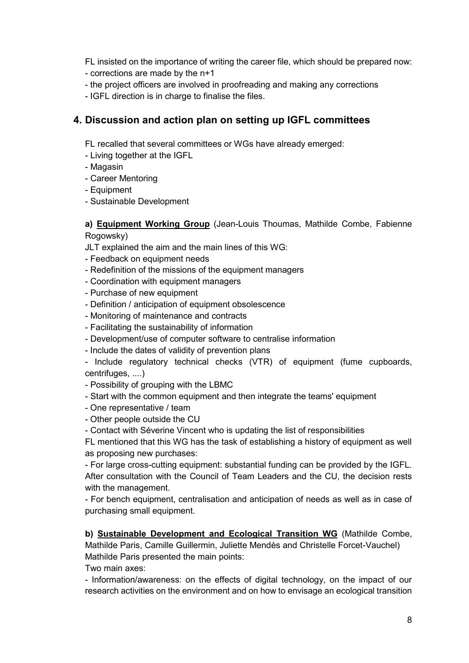FL insisted on the importance of writing the career file, which should be prepared now:

- corrections are made by the n+1
- the project officers are involved in proofreading and making any corrections
- IGFL direction is in charge to finalise the files.

## **4. Discussion and action plan on setting up IGFL committees**

FL recalled that several committees or WGs have already emerged:

- Living together at the IGFL
- Magasin
- Career Mentoring
- Equipment
- Sustainable Development

**a) Equipment Working Group** (Jean-Louis Thoumas, Mathilde Combe, Fabienne Rogowsky)

- JLT explained the aim and the main lines of this WG:
- Feedback on equipment needs
- Redefinition of the missions of the equipment managers
- Coordination with equipment managers
- Purchase of new equipment
- Definition / anticipation of equipment obsolescence
- Monitoring of maintenance and contracts
- Facilitating the sustainability of information
- Development/use of computer software to centralise information
- Include the dates of validity of prevention plans

- Include regulatory technical checks (VTR) of equipment (fume cupboards, centrifuges, ....)

- Possibility of grouping with the LBMC
- Start with the common equipment and then integrate the teams' equipment
- One representative / team
- Other people outside the CU
- Contact with Séverine Vincent who is updating the list of responsibilities

FL mentioned that this WG has the task of establishing a history of equipment as well as proposing new purchases:

- For large cross-cutting equipment: substantial funding can be provided by the IGFL. After consultation with the Council of Team Leaders and the CU, the decision rests with the management.

- For bench equipment, centralisation and anticipation of needs as well as in case of purchasing small equipment.

**b) Sustainable Development and Ecological Transition WG** (Mathilde Combe, Mathilde Paris, Camille Guillermin, Juliette Mendès and Christelle Forcet-Vauchel) Mathilde Paris presented the main points:

Two main axes:

- Information/awareness: on the effects of digital technology, on the impact of our research activities on the environment and on how to envisage an ecological transition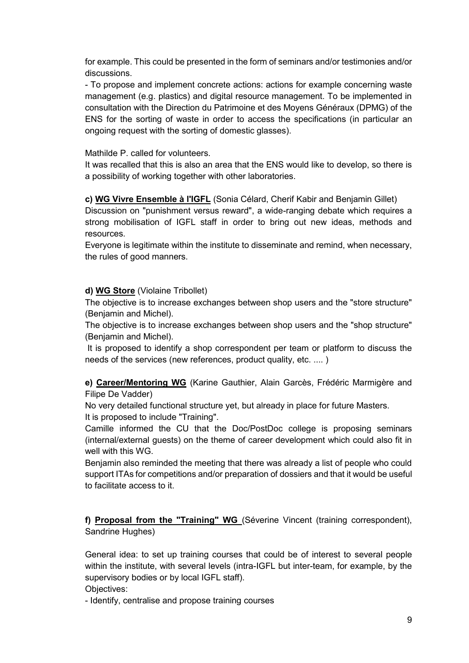for example. This could be presented in the form of seminars and/or testimonies and/or discussions.

- To propose and implement concrete actions: actions for example concerning waste management (e.g. plastics) and digital resource management. To be implemented in consultation with the Direction du Patrimoine et des Moyens Généraux (DPMG) of the ENS for the sorting of waste in order to access the specifications (in particular an ongoing request with the sorting of domestic glasses).

#### Mathilde P. called for volunteers.

It was recalled that this is also an area that the ENS would like to develop, so there is a possibility of working together with other laboratories.

**c) WG Vivre Ensemble à l'IGFL** (Sonia Célard, Cherif Kabir and Benjamin Gillet)

Discussion on "punishment versus reward", a wide-ranging debate which requires a strong mobilisation of IGFL staff in order to bring out new ideas, methods and resources.

Everyone is legitimate within the institute to disseminate and remind, when necessary, the rules of good manners.

#### **d) WG Store** (Violaine Tribollet)

The objective is to increase exchanges between shop users and the "store structure" (Benjamin and Michel).

The objective is to increase exchanges between shop users and the "shop structure" (Benjamin and Michel).

It is proposed to identify a shop correspondent per team or platform to discuss the needs of the services (new references, product quality, etc. .... )

**e) Career/Mentoring WG** (Karine Gauthier, Alain Garcès, Frédéric Marmigère and Filipe De Vadder)

No very detailed functional structure yet, but already in place for future Masters. It is proposed to include "Training".

Camille informed the CU that the Doc/PostDoc college is proposing seminars (internal/external guests) on the theme of career development which could also fit in well with this WG.

Benjamin also reminded the meeting that there was already a list of people who could support ITAs for competitions and/or preparation of dossiers and that it would be useful to facilitate access to it.

**f) Proposal from the "Training" WG** (Séverine Vincent (training correspondent), Sandrine Hughes)

General idea: to set up training courses that could be of interest to several people within the institute, with several levels (intra-IGFL but inter-team, for example, by the supervisory bodies or by local IGFL staff).

Objectives:

- Identify, centralise and propose training courses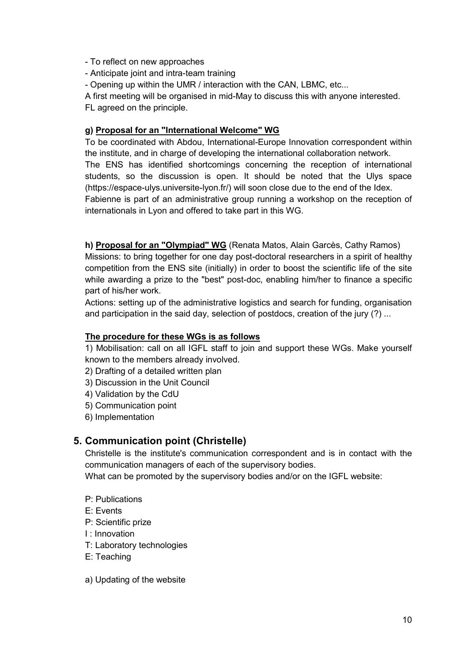- To reflect on new approaches
- Anticipate joint and intra-team training

- Opening up within the UMR / interaction with the CAN, LBMC, etc...

A first meeting will be organised in mid-May to discuss this with anyone interested. FL agreed on the principle.

#### **g) Proposal for an "International Welcome" WG**

To be coordinated with Abdou, International-Europe Innovation correspondent within the institute, and in charge of developing the international collaboration network. The ENS has identified shortcomings concerning the reception of international students, so the discussion is open. It should be noted that the Ulys space (https://espace-ulys.universite-lyon.fr/) will soon close due to the end of the Idex.

Fabienne is part of an administrative group running a workshop on the reception of internationals in Lyon and offered to take part in this WG.

**h) Proposal for an "Olympiad" WG** (Renata Matos, Alain Garcès, Cathy Ramos)

Missions: to bring together for one day post-doctoral researchers in a spirit of healthy competition from the ENS site (initially) in order to boost the scientific life of the site while awarding a prize to the "best" post-doc, enabling him/her to finance a specific part of his/her work.

Actions: setting up of the administrative logistics and search for funding, organisation and participation in the said day, selection of postdocs, creation of the jury (?) ...

#### **The procedure for these WGs is as follows**

1) Mobilisation: call on all IGFL staff to join and support these WGs. Make yourself known to the members already involved.

- 2) Drafting of a detailed written plan
- 3) Discussion in the Unit Council
- 4) Validation by the CdU
- 5) Communication point
- 6) Implementation

## **5. Communication point (Christelle)**

Christelle is the institute's communication correspondent and is in contact with the communication managers of each of the supervisory bodies.

What can be promoted by the supervisory bodies and/or on the IGFL website:

- P: Publications
- E: Events
- P: Scientific prize
- I : Innovation
- T: Laboratory technologies
- E: Teaching
- a) Updating of the website